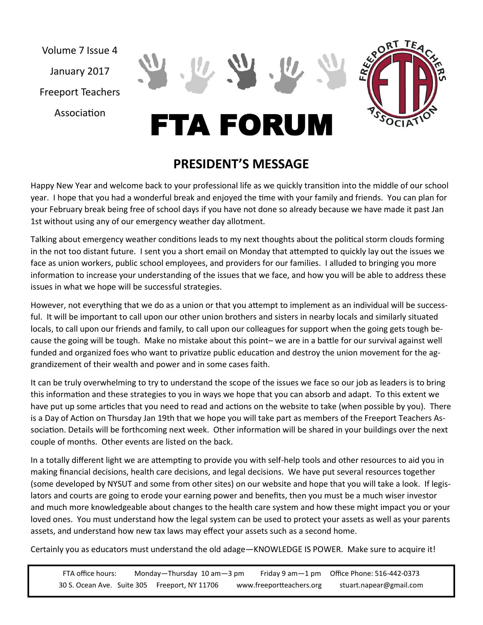January 2017

Volume 7 Issue 4

Freeport Teachers

Association



# FTA FORUM

# **PRESIDENT'S MESSAGE**

Happy New Year and welcome back to your professional life as we quickly transition into the middle of our school year. I hope that you had a wonderful break and enjoyed the time with your family and friends. You can plan for your February break being free of school days if you have not done so already because we have made it past Jan 1st without using any of our emergency weather day allotment.

Talking about emergency weather conditions leads to my next thoughts about the political storm clouds forming in the not too distant future. I sent you a short email on Monday that attempted to quickly lay out the issues we face as union workers, public school employees, and providers for our families. I alluded to bringing you more information to increase your understanding of the issues that we face, and how you will be able to address these issues in what we hope will be successful strategies.

However, not everything that we do as a union or that you attempt to implement as an individual will be successful. It will be important to call upon our other union brothers and sisters in nearby locals and similarly situated locals, to call upon our friends and family, to call upon our colleagues for support when the going gets tough because the going will be tough. Make no mistake about this point– we are in a battle for our survival against well funded and organized foes who want to privatize public education and destroy the union movement for the aggrandizement of their wealth and power and in some cases faith.

It can be truly overwhelming to try to understand the scope of the issues we face so our job as leaders is to bring this information and these strategies to you in ways we hope that you can absorb and adapt. To this extent we have put up some articles that you need to read and actions on the website to take (when possible by you). There is a Day of Action on Thursday Jan 19th that we hope you will take part as members of the Freeport Teachers Association. Details will be forthcoming next week. Other information will be shared in your buildings over the next couple of months. Other events are listed on the back.

In a totally different light we are attempting to provide you with self-help tools and other resources to aid you in making financial decisions, health care decisions, and legal decisions. We have put several resources together (some developed by NYSUT and some from other sites) on our website and hope that you will take a look. If legislators and courts are going to erode your earning power and benefits, then you must be a much wiser investor and much more knowledgeable about changes to the health care system and how these might impact you or your loved ones. You must understand how the legal system can be used to protect your assets as well as your parents assets, and understand how new tax laws may effect your assets such as a second home.

Certainly you as educators must understand the old adage—KNOWLEDGE IS POWER. Make sure to acquire it!

FTA office hours: Monday—Thursday 10 am—3 pm Friday 9 am—1 pm Office Phone: 516-442-0373 30 S. Ocean Ave. Suite 305 Freeport, NY 11706 www.freeportteachers.org stuart.napear@gmail.com